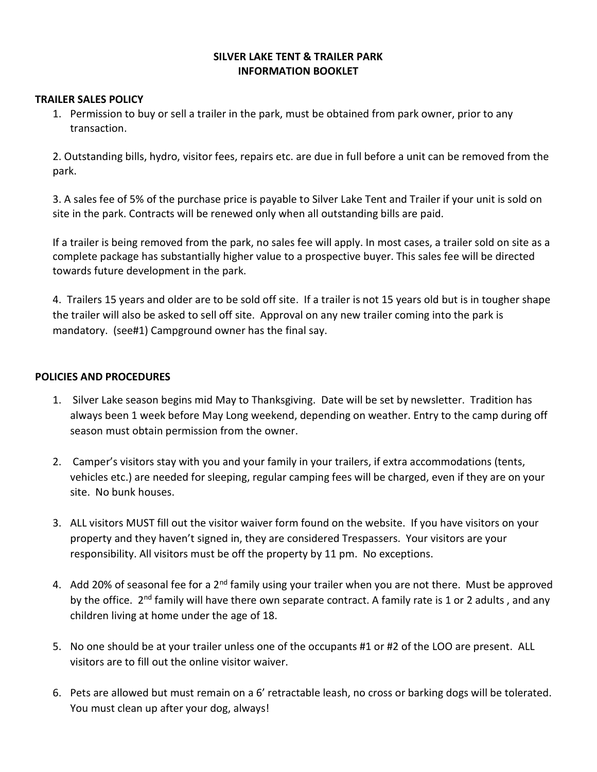## SILVER LAKE TENT & TRAILER PARK INFORMATION BOOKLET

## TRAILER SALES POLICY

1. Permission to buy or sell a trailer in the park, must be obtained from park owner, prior to any transaction.

2. Outstanding bills, hydro, visitor fees, repairs etc. are due in full before a unit can be removed from the park.

3. A sales fee of 5% of the purchase price is payable to Silver Lake Tent and Trailer if your unit is sold on site in the park. Contracts will be renewed only when all outstanding bills are paid.

If a trailer is being removed from the park, no sales fee will apply. In most cases, a trailer sold on site as a complete package has substantially higher value to a prospective buyer. This sales fee will be directed towards future development in the park.

4. Trailers 15 years and older are to be sold off site. If a trailer is not 15 years old but is in tougher shape the trailer will also be asked to sell off site. Approval on any new trailer coming into the park is mandatory. (see#1) Campground owner has the final say.

## POLICIES AND PROCEDURES

- 1. Silver Lake season begins mid May to Thanksgiving. Date will be set by newsletter. Tradition has always been 1 week before May Long weekend, depending on weather. Entry to the camp during off season must obtain permission from the owner.
- 2. Camper's visitors stay with you and your family in your trailers, if extra accommodations (tents, vehicles etc.) are needed for sleeping, regular camping fees will be charged, even if they are on your site. No bunk houses.
- 3. ALL visitors MUST fill out the visitor waiver form found on the website. If you have visitors on your property and they haven't signed in, they are considered Trespassers. Your visitors are your responsibility. All visitors must be off the property by 11 pm. No exceptions.
- 4. Add 20% of seasonal fee for a 2<sup>nd</sup> family using your trailer when you are not there. Must be approved by the office. 2<sup>nd</sup> family will have there own separate contract. A family rate is 1 or 2 adults, and any children living at home under the age of 18.
- 5. No one should be at your trailer unless one of the occupants #1 or #2 of the LOO are present. ALL visitors are to fill out the online visitor waiver.
- 6. Pets are allowed but must remain on a 6' retractable leash, no cross or barking dogs will be tolerated. You must clean up after your dog, always!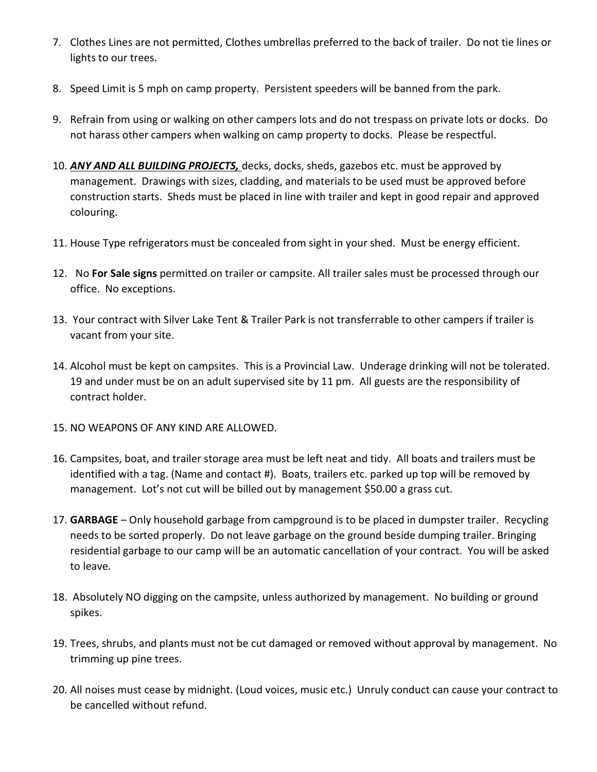- 7. Clothes Lines are not permitted, Clothes umbrellas preferred to the back of trailer. Do not tie lines or lights to our trees.
- 8. Speed Limit is 5 mph on camp property. Persistent speeders will be banned from the park.
- 9. Refrain from using or walking on other campers lots and do not trespass on private lots or docks. Do not harass other campers when walking on camp property to docks. Please be respectful.
- 10. ANY AND ALL BUILDING PROJECTS, decks, docks, sheds, gazebos etc. must be approved by management. Drawings with sizes, cladding, and materials to be used must be approved before construction starts. Sheds must be placed in line with trailer and kept in good repair and approved colouring.
- 11. House Type refrigerators must be concealed from sight in your shed. Must be energy efficient.
- 12. No For Sale signs permitted on trailer or campsite. All trailer sales must be processed through our office. No exceptions.
- 13. Your contract with Silver Lake Tent & Trailer Park is not transferrable to other campers if trailer is vacant from your site.
- 14. Alcohol must be kept on campsites. This is a Provincial Law. Underage drinking will not be tolerated. 19 and under must be on an adult supervised site by 11 pm. All guests are the responsibility of contract holder.
- 15. NO WEAPONS OF ANY KIND ARE ALLOWED.
- 16. Campsites, boat, and trailer storage area must be left neat and tidy. All boats and trailers must be identified with a tag. (Name and contact #). Boats, trailers etc. parked up top will be removed by management. Lot's not cut will be billed out by management \$50.00 a grass cut.
- 17. GARBAGE Only household garbage from campground is to be placed in dumpster trailer. Recycling needs to be sorted properly. Do not leave garbage on the ground beside dumping trailer. Bringing residential garbage to our camp will be an automatic cancellation of your contract. You will be asked to leave.
- 18. Absolutely NO digging on the campsite, unless authorized by management. No building or ground spikes.
- 19. Trees, shrubs, and plants must not be cut damaged or removed without approval by management. No trimming up pine trees.
- 20. All noises must cease by midnight. (Loud voices, music etc.) Unruly conduct can cause your contract to be cancelled without refund.